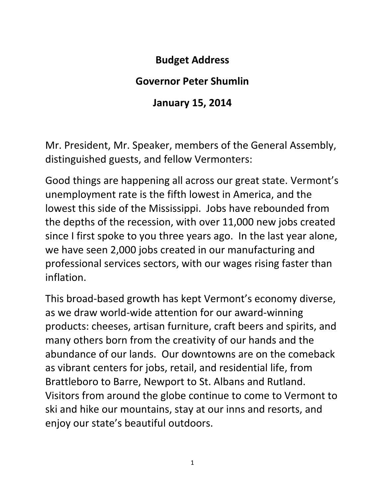## **Budget Address**

## **Governor Peter Shumlin**

## **January 15, 2014**

Mr. President, Mr. Speaker, members of the General Assembly, distinguished guests, and fellow Vermonters:

Good things are happening all across our great state. Vermont's unemployment rate is the fifth lowest in America, and the lowest this side of the Mississippi. Jobs have rebounded from the depths of the recession, with over 11,000 new jobs created since I first spoke to you three years ago. In the last year alone, we have seen 2,000 jobs created in our manufacturing and professional services sectors, with our wages rising faster than inflation.

This broad-based growth has kept Vermont's economy diverse, as we draw world-wide attention for our award-winning products: cheeses, artisan furniture, craft beers and spirits, and many others born from the creativity of our hands and the abundance of our lands. Our downtowns are on the comeback as vibrant centers for jobs, retail, and residential life, from Brattleboro to Barre, Newport to St. Albans and Rutland. Visitors from around the globe continue to come to Vermont to ski and hike our mountains, stay at our inns and resorts, and enjoy our state's beautiful outdoors.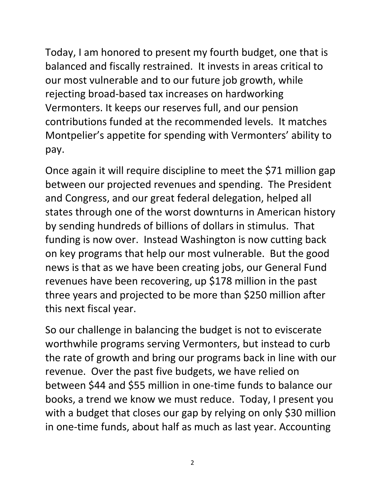Today, I am honored to present my fourth budget, one that is balanced and fiscally restrained. It invests in areas critical to our most vulnerable and to our future job growth, while rejecting broad-based tax increases on hardworking Vermonters. It keeps our reserves full, and our pension contributions funded at the recommended levels. It matches Montpelier's appetite for spending with Vermonters' ability to pay.

Once again it will require discipline to meet the \$71 million gap between our projected revenues and spending. The President and Congress, and our great federal delegation, helped all states through one of the worst downturns in American history by sending hundreds of billions of dollars in stimulus. That funding is now over. Instead Washington is now cutting back on key programs that help our most vulnerable. But the good news is that as we have been creating jobs, our General Fund revenues have been recovering, up \$178 million in the past three years and projected to be more than \$250 million after this next fiscal year.

So our challenge in balancing the budget is not to eviscerate worthwhile programs serving Vermonters, but instead to curb the rate of growth and bring our programs back in line with our revenue. Over the past five budgets, we have relied on between \$44 and \$55 million in one-time funds to balance our books, a trend we know we must reduce. Today, I present you with a budget that closes our gap by relying on only \$30 million in one-time funds, about half as much as last year. Accounting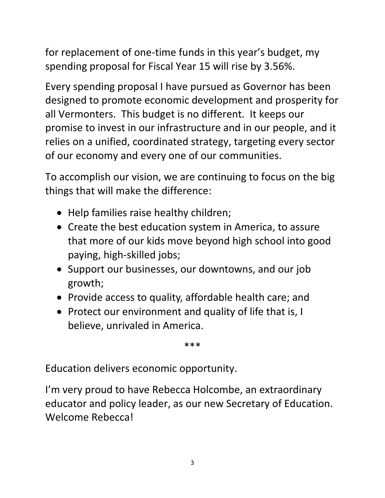for replacement of one-time funds in this year's budget, my spending proposal for Fiscal Year 15 will rise by 3.56%.

Every spending proposal I have pursued as Governor has been designed to promote economic development and prosperity for all Vermonters. This budget is no different. It keeps our promise to invest in our infrastructure and in our people, and it relies on a unified, coordinated strategy, targeting every sector of our economy and every one of our communities.

To accomplish our vision, we are continuing to focus on the big things that will make the difference:

- Help families raise healthy children;
- Create the best education system in America, to assure that more of our kids move beyond high school into good paying, high-skilled jobs;
- Support our businesses, our downtowns, and our job growth;
- Provide access to quality, affordable health care; and
- Protect our environment and quality of life that is, I believe, unrivaled in America.

\*\*\*

Education delivers economic opportunity.

I'm very proud to have Rebecca Holcombe, an extraordinary educator and policy leader, as our new Secretary of Education. Welcome Rebecca!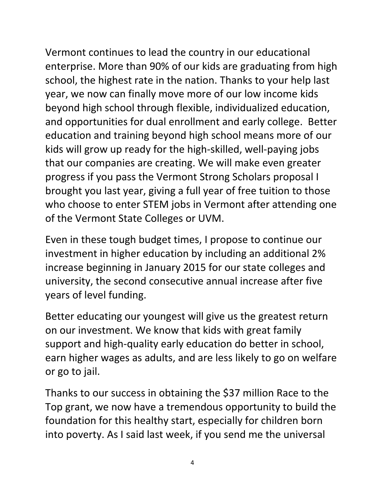Vermont continues to lead the country in our educational enterprise. More than 90% of our kids are graduating from high school, the highest rate in the nation. Thanks to your help last year, we now can finally move more of our low income kids beyond high school through flexible, individualized education, and opportunities for dual enrollment and early college. Better education and training beyond high school means more of our kids will grow up ready for the high-skilled, well-paying jobs that our companies are creating. We will make even greater progress if you pass the Vermont Strong Scholars proposal I brought you last year, giving a full year of free tuition to those who choose to enter STEM jobs in Vermont after attending one of the Vermont State Colleges or UVM.

Even in these tough budget times, I propose to continue our investment in higher education by including an additional 2% increase beginning in January 2015 for our state colleges and university, the second consecutive annual increase after five years of level funding.

Better educating our youngest will give us the greatest return on our investment. We know that kids with great family support and high-quality early education do better in school, earn higher wages as adults, and are less likely to go on welfare or go to jail.

Thanks to our success in obtaining the \$37 million Race to the Top grant, we now have a tremendous opportunity to build the foundation for this healthy start, especially for children born into poverty. As I said last week, if you send me the universal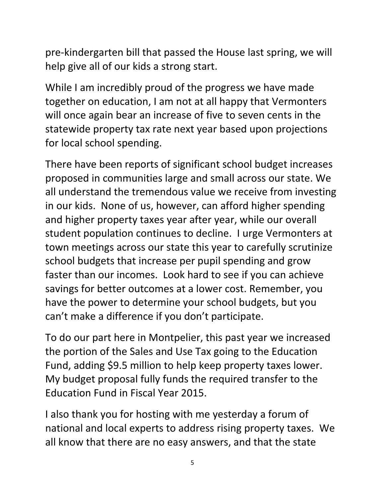pre-kindergarten bill that passed the House last spring, we will help give all of our kids a strong start.

While I am incredibly proud of the progress we have made together on education, I am not at all happy that Vermonters will once again bear an increase of five to seven cents in the statewide property tax rate next year based upon projections for local school spending.

There have been reports of significant school budget increases proposed in communities large and small across our state. We all understand the tremendous value we receive from investing in our kids. None of us, however, can afford higher spending and higher property taxes year after year, while our overall student population continues to decline. I urge Vermonters at town meetings across our state this year to carefully scrutinize school budgets that increase per pupil spending and grow faster than our incomes. Look hard to see if you can achieve savings for better outcomes at a lower cost. Remember, you have the power to determine your school budgets, but you can't make a difference if you don't participate.

To do our part here in Montpelier, this past year we increased the portion of the Sales and Use Tax going to the Education Fund, adding \$9.5 million to help keep property taxes lower. My budget proposal fully funds the required transfer to the Education Fund in Fiscal Year 2015.

I also thank you for hosting with me yesterday a forum of national and local experts to address rising property taxes. We all know that there are no easy answers, and that the state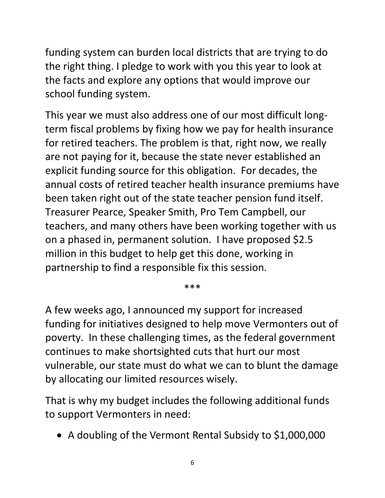funding system can burden local districts that are trying to do the right thing. I pledge to work with you this year to look at the facts and explore any options that would improve our school funding system.

This year we must also address one of our most difficult longterm fiscal problems by fixing how we pay for health insurance for retired teachers. The problem is that, right now, we really are not paying for it, because the state never established an explicit funding source for this obligation. For decades, the annual costs of retired teacher health insurance premiums have been taken right out of the state teacher pension fund itself. Treasurer Pearce, Speaker Smith, Pro Tem Campbell, our teachers, and many others have been working together with us on a phased in, permanent solution. I have proposed \$2.5 million in this budget to help get this done, working in partnership to find a responsible fix this session.

\*\*\*

A few weeks ago, I announced my support for increased funding for initiatives designed to help move Vermonters out of poverty. In these challenging times, as the federal government continues to make shortsighted cuts that hurt our most vulnerable, our state must do what we can to blunt the damage by allocating our limited resources wisely.

That is why my budget includes the following additional funds to support Vermonters in need:

A doubling of the Vermont Rental Subsidy to \$1,000,000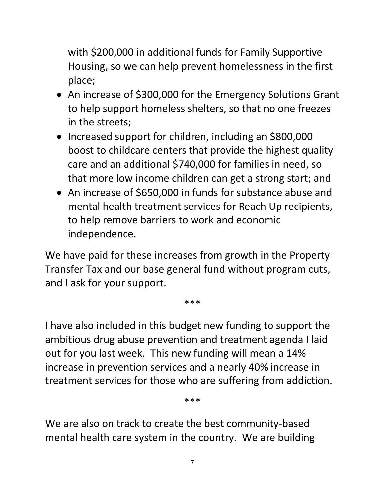with \$200,000 in additional funds for Family Supportive Housing, so we can help prevent homelessness in the first place;

- An increase of \$300,000 for the Emergency Solutions Grant to help support homeless shelters, so that no one freezes in the streets;
- Increased support for children, including an \$800,000 boost to childcare centers that provide the highest quality care and an additional \$740,000 for families in need, so that more low income children can get a strong start; and
- An increase of \$650,000 in funds for substance abuse and mental health treatment services for Reach Up recipients, to help remove barriers to work and economic independence.

We have paid for these increases from growth in the Property Transfer Tax and our base general fund without program cuts, and I ask for your support.

\*\*\*

I have also included in this budget new funding to support the ambitious drug abuse prevention and treatment agenda I laid out for you last week. This new funding will mean a 14% increase in prevention services and a nearly 40% increase in treatment services for those who are suffering from addiction.

\*\*\*

We are also on track to create the best community-based mental health care system in the country. We are building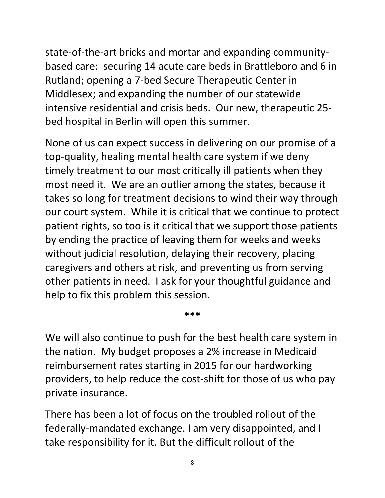state-of-the-art bricks and mortar and expanding communitybased care: securing 14 acute care beds in Brattleboro and 6 in Rutland; opening a 7-bed Secure Therapeutic Center in Middlesex; and expanding the number of our statewide intensive residential and crisis beds. Our new, therapeutic 25 bed hospital in Berlin will open this summer.

None of us can expect success in delivering on our promise of a top-quality, healing mental health care system if we deny timely treatment to our most critically ill patients when they most need it. We are an outlier among the states, because it takes so long for treatment decisions to wind their way through our court system. While it is critical that we continue to protect patient rights, so too is it critical that we support those patients by ending the practice of leaving them for weeks and weeks without judicial resolution, delaying their recovery, placing caregivers and others at risk, and preventing us from serving other patients in need. I ask for your thoughtful guidance and help to fix this problem this session.

**\*\*\***

We will also continue to push for the best health care system in the nation. My budget proposes a 2% increase in Medicaid reimbursement rates starting in 2015 for our hardworking providers, to help reduce the cost-shift for those of us who pay private insurance.

There has been a lot of focus on the troubled rollout of the federally-mandated exchange. I am very disappointed, and I take responsibility for it. But the difficult rollout of the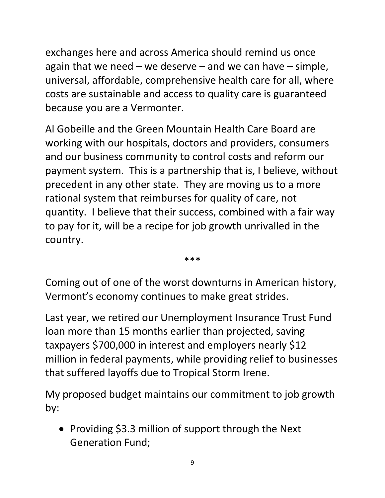exchanges here and across America should remind us once again that we need  $-$  we deserve  $-$  and we can have  $-$  simple, universal, affordable, comprehensive health care for all, where costs are sustainable and access to quality care is guaranteed because you are a Vermonter.

Al Gobeille and the Green Mountain Health Care Board are working with our hospitals, doctors and providers, consumers and our business community to control costs and reform our payment system. This is a partnership that is, I believe, without precedent in any other state. They are moving us to a more rational system that reimburses for quality of care, not quantity. I believe that their success, combined with a fair way to pay for it, will be a recipe for job growth unrivalled in the country.

\*\*\*

Coming out of one of the worst downturns in American history, Vermont's economy continues to make great strides.

Last year, we retired our Unemployment Insurance Trust Fund loan more than 15 months earlier than projected, saving taxpayers \$700,000 in interest and employers nearly \$12 million in federal payments, while providing relief to businesses that suffered layoffs due to Tropical Storm Irene.

My proposed budget maintains our commitment to job growth by:

• Providing \$3.3 million of support through the Next Generation Fund;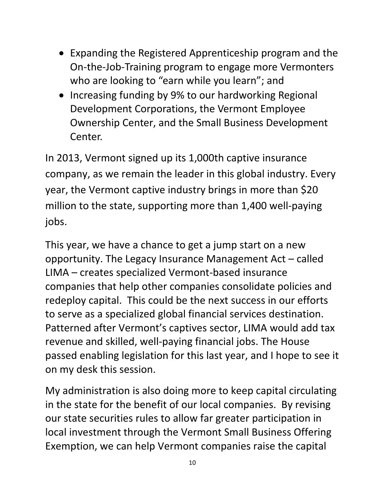- Expanding the Registered Apprenticeship program and the On-the-Job-Training program to engage more Vermonters who are looking to "earn while you learn"; and
- Increasing funding by 9% to our hardworking Regional Development Corporations, the Vermont Employee Ownership Center, and the Small Business Development Center.

In 2013, Vermont signed up its 1,000th captive insurance company, as we remain the leader in this global industry. Every year, the Vermont captive industry brings in more than \$20 million to the state, supporting more than 1,400 well-paying jobs.

This year, we have a chance to get a jump start on a new opportunity. The Legacy Insurance Management Act – called LIMA – creates specialized Vermont-based insurance companies that help other companies consolidate policies and redeploy capital. This could be the next success in our efforts to serve as a specialized global financial services destination. Patterned after Vermont's captives sector, LIMA would add tax revenue and skilled, well-paying financial jobs. The House passed enabling legislation for this last year, and I hope to see it on my desk this session.

My administration is also doing more to keep capital circulating in the state for the benefit of our local companies. By revising our state securities rules to allow far greater participation in local investment through the Vermont Small Business Offering Exemption, we can help Vermont companies raise the capital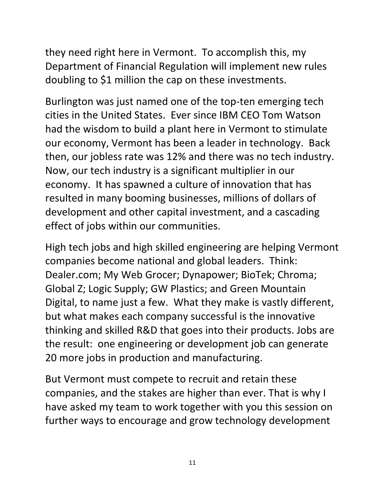they need right here in Vermont. To accomplish this, my Department of Financial Regulation will implement new rules doubling to \$1 million the cap on these investments.

Burlington was just named one of the top-ten emerging tech cities in the United States. Ever since IBM CEO Tom Watson had the wisdom to build a plant here in Vermont to stimulate our economy, Vermont has been a leader in technology. Back then, our jobless rate was 12% and there was no tech industry. Now, our tech industry is a significant multiplier in our economy. It has spawned a culture of innovation that has resulted in many booming businesses, millions of dollars of development and other capital investment, and a cascading effect of jobs within our communities.

High tech jobs and high skilled engineering are helping Vermont companies become national and global leaders. Think: Dealer.com; My Web Grocer; Dynapower; BioTek; Chroma; Global Z; Logic Supply; GW Plastics; and Green Mountain Digital, to name just a few. What they make is vastly different, but what makes each company successful is the innovative thinking and skilled R&D that goes into their products. Jobs are the result: one engineering or development job can generate 20 more jobs in production and manufacturing.

But Vermont must compete to recruit and retain these companies, and the stakes are higher than ever. That is why I have asked my team to work together with you this session on further ways to encourage and grow technology development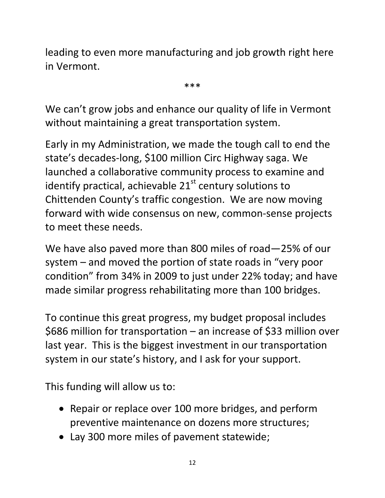leading to even more manufacturing and job growth right here in Vermont.

\*\*\*

We can't grow jobs and enhance our quality of life in Vermont without maintaining a great transportation system.

Early in my Administration, we made the tough call to end the state's decades-long, \$100 million Circ Highway saga. We launched a collaborative community process to examine and identify practical, achievable  $21<sup>st</sup>$  century solutions to Chittenden County's traffic congestion. We are now moving forward with wide consensus on new, common-sense projects to meet these needs.

We have also paved more than 800 miles of road—25% of our system – and moved the portion of state roads in "very poor condition" from 34% in 2009 to just under 22% today; and have made similar progress rehabilitating more than 100 bridges.

To continue this great progress, my budget proposal includes \$686 million for transportation – an increase of \$33 million over last year. This is the biggest investment in our transportation system in our state's history, and I ask for your support.

This funding will allow us to:

- Repair or replace over 100 more bridges, and perform preventive maintenance on dozens more structures;
- Lay 300 more miles of pavement statewide;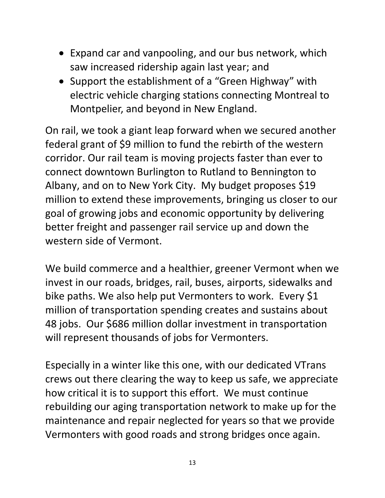- Expand car and vanpooling, and our bus network, which saw increased ridership again last year; and
- Support the establishment of a "Green Highway" with electric vehicle charging stations connecting Montreal to Montpelier, and beyond in New England.

On rail, we took a giant leap forward when we secured another federal grant of \$9 million to fund the rebirth of the western corridor. Our rail team is moving projects faster than ever to connect downtown Burlington to Rutland to Bennington to Albany, and on to New York City. My budget proposes \$19 million to extend these improvements, bringing us closer to our goal of growing jobs and economic opportunity by delivering better freight and passenger rail service up and down the western side of Vermont.

We build commerce and a healthier, greener Vermont when we invest in our roads, bridges, rail, buses, airports, sidewalks and bike paths. We also help put Vermonters to work. Every \$1 million of transportation spending creates and sustains about 48 jobs. Our \$686 million dollar investment in transportation will represent thousands of jobs for Vermonters.

Especially in a winter like this one, with our dedicated VTrans crews out there clearing the way to keep us safe, we appreciate how critical it is to support this effort. We must continue rebuilding our aging transportation network to make up for the maintenance and repair neglected for years so that we provide Vermonters with good roads and strong bridges once again.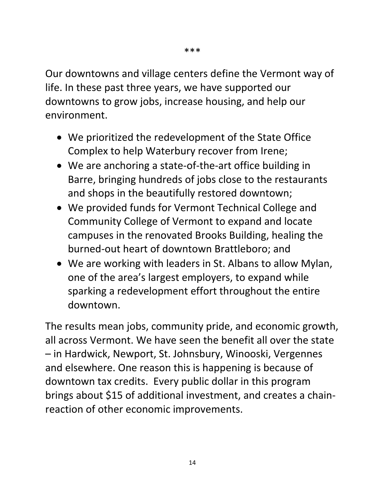Our downtowns and village centers define the Vermont way of life. In these past three years, we have supported our downtowns to grow jobs, increase housing, and help our environment.

- We prioritized the redevelopment of the State Office Complex to help Waterbury recover from Irene;
- We are anchoring a state-of-the-art office building in Barre, bringing hundreds of jobs close to the restaurants and shops in the beautifully restored downtown;
- We provided funds for Vermont Technical College and Community College of Vermont to expand and locate campuses in the renovated Brooks Building, healing the burned-out heart of downtown Brattleboro; and
- We are working with leaders in St. Albans to allow Mylan, one of the area's largest employers, to expand while sparking a redevelopment effort throughout the entire downtown.

The results mean jobs, community pride, and economic growth, all across Vermont. We have seen the benefit all over the state – in Hardwick, Newport, St. Johnsbury, Winooski, Vergennes and elsewhere. One reason this is happening is because of downtown tax credits. Every public dollar in this program brings about \$15 of additional investment, and creates a chainreaction of other economic improvements.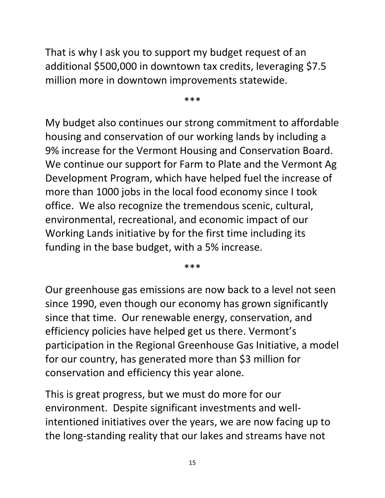That is why I ask you to support my budget request of an additional \$500,000 in downtown tax credits, leveraging \$7.5 million more in downtown improvements statewide.

\*\*\*

My budget also continues our strong commitment to affordable housing and conservation of our working lands by including a 9% increase for the Vermont Housing and Conservation Board. We continue our support for Farm to Plate and the Vermont Ag Development Program, which have helped fuel the increase of more than 1000 jobs in the local food economy since I took office. We also recognize the tremendous scenic, cultural, environmental, recreational, and economic impact of our Working Lands initiative by for the first time including its funding in the base budget, with a 5% increase.

\*\*\*

Our greenhouse gas emissions are now back to a level not seen since 1990, even though our economy has grown significantly since that time. Our renewable energy, conservation, and efficiency policies have helped get us there. Vermont's participation in the Regional Greenhouse Gas Initiative, a model for our country, has generated more than \$3 million for conservation and efficiency this year alone.

This is great progress, but we must do more for our environment. Despite significant investments and wellintentioned initiatives over the years, we are now facing up to the long-standing reality that our lakes and streams have not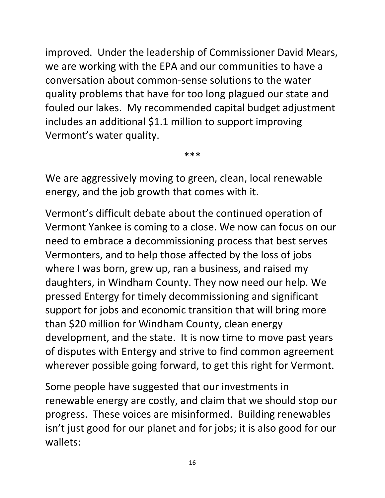improved. Under the leadership of Commissioner David Mears, we are working with the EPA and our communities to have a conversation about common-sense solutions to the water quality problems that have for too long plagued our state and fouled our lakes. My recommended capital budget adjustment includes an additional \$1.1 million to support improving Vermont's water quality.

\*\*\*

We are aggressively moving to green, clean, local renewable energy, and the job growth that comes with it.

Vermont's difficult debate about the continued operation of Vermont Yankee is coming to a close. We now can focus on our need to embrace a decommissioning process that best serves Vermonters, and to help those affected by the loss of jobs where I was born, grew up, ran a business, and raised my daughters, in Windham County. They now need our help. We pressed Entergy for timely decommissioning and significant support for jobs and economic transition that will bring more than \$20 million for Windham County, clean energy development, and the state. It is now time to move past years of disputes with Entergy and strive to find common agreement wherever possible going forward, to get this right for Vermont.

Some people have suggested that our investments in renewable energy are costly, and claim that we should stop our progress. These voices are misinformed. Building renewables isn't just good for our planet and for jobs; it is also good for our wallets: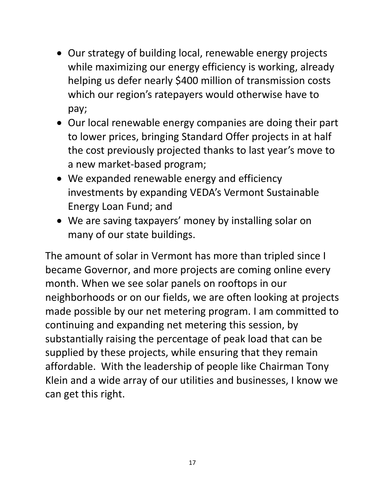- Our strategy of building local, renewable energy projects while maximizing our energy efficiency is working, already helping us defer nearly \$400 million of transmission costs which our region's ratepayers would otherwise have to pay;
- Our local renewable energy companies are doing their part to lower prices, bringing Standard Offer projects in at half the cost previously projected thanks to last year's move to a new market-based program;
- We expanded renewable energy and efficiency investments by expanding VEDA's Vermont Sustainable Energy Loan Fund; and
- We are saving taxpayers' money by installing solar on many of our state buildings.

The amount of solar in Vermont has more than tripled since I became Governor, and more projects are coming online every month. When we see solar panels on rooftops in our neighborhoods or on our fields, we are often looking at projects made possible by our net metering program. I am committed to continuing and expanding net metering this session, by substantially raising the percentage of peak load that can be supplied by these projects, while ensuring that they remain affordable. With the leadership of people like Chairman Tony Klein and a wide array of our utilities and businesses, I know we can get this right.